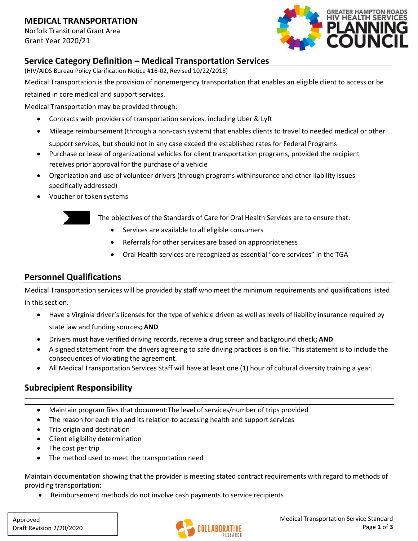#### **MEDICAL TRANSPORTATION**

Norfolk Transitional Grant Area Grant Year 2020/21



#### **Service Category Definition – Medical Transportation Services**

(HIV/AIDS Bureau Policy Clarification Notice #16-02, Revised 10/22/2018)

Medical Transportation is the provision of nonemergency transportation that enables an eligible client to access or be retained in core medical and support services.

Medical Transportation may be provided through:

- Contracts with providers of transportation services, including Uber & Lyft
- Mileage reimbursement (through a non-cash system) that enables clients to travel to needed medical or other support services, but should not in any case exceed the established rates for Federal Programs
- Purchase or lease of organizational vehicles for client transportation programs, provided the recipient receives prior approval for the purchase of a vehicle
- Organization and use of volunteer drivers (through programs withinsurance and other liability issues specifically addressed)
- Voucher or token systems



The objectives of the Standards of Care for Oral Health Services are to ensure that:

- Services are available to all eligible consumers
- Referrals for other services are based on appropriateness
- Oral Health services are recognized as essential "core services" in the TGA

## **Personnel Qualifications**

Medical Transportation services will be provided by staff who meet the minimum requirements and qualifications listed in this section.

- Have a Virginia driver's licenses for the type of vehicle driven as well as levels of liability insurance required by state law and funding sources**; AND**
- Drivers must have verified driving records, receive a drug screen and background check**; AND**
- A signed statement from the drivers agreeing to safe driving practices is on file. This statement is to include the consequences of violating the agreement.
- All Medical Transportation Services Staff will have at least one (1) hour of cultural diversity training a year.

## **Subrecipient Responsibility**

- Maintain program files that document:The level of services/number of trips provided
- The reason for each trip and its relation to accessing health and support services
- Trip origin and destination
- Client eligibility determination
- The cost per trip
- The method used to meet the transportation need

Maintain documentation showing that the provider is meeting stated contract requirements with regard to methods of providing transportation:

• Reimbursement methods do not involve cash payments to service recipients

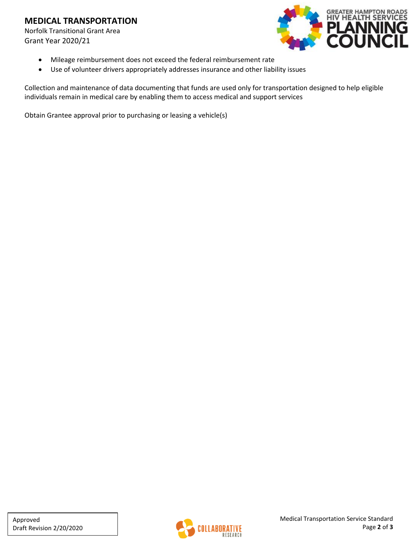#### **MEDICAL TRANSPORTATION**

Norfolk Transitional Grant Area Grant Year 2020/21



- Mileage reimbursement does not exceed the federal reimbursement rate
- Use of volunteer drivers appropriately addresses insurance and other liability issues

Collection and maintenance of data documenting that funds are used only for transportation designed to help eligible individuals remain in medical care by enabling them to access medical and support services

Obtain Grantee approval prior to purchasing or leasing a vehicle(s)